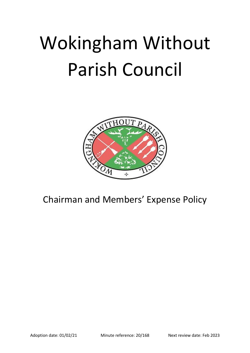# Wokingham Without Parish Council



Chairman and Members' Expense Policy